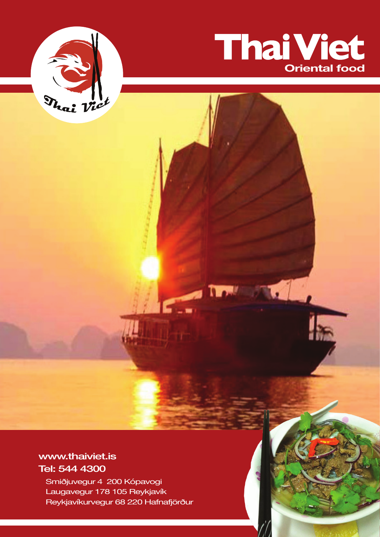



**IN AMERICA** 

# www.thaiviet.is Tel: 544 4300

Smiðjuvegur 4 200 Kópavogi Laugavegur 178 105 Reykjavík Reykjavíkurvegur 68 220 Hafnafjörður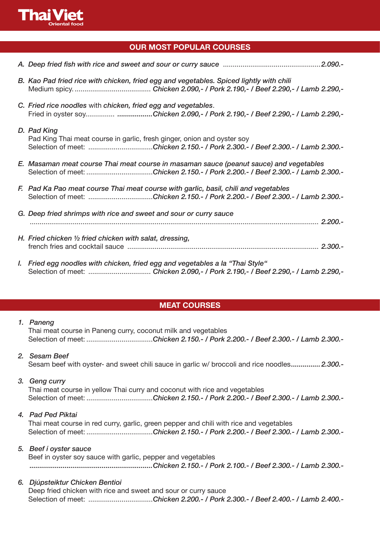

## **OUR MOST POPULAR COURSES**

| B. Kao Pad fried rice with chicken, fried egg and vegetables. Spiced lightly with chili                                                                                   |
|---------------------------------------------------------------------------------------------------------------------------------------------------------------------------|
| C. Fried rice noodles with chicken, fried egg and vegetables.<br>Fried in oyster soy Chicken 2.090,- / Pork 2.190,- / Beef 2.290,- / Lamb 2.290,-                         |
| D. Pad King<br>Pad King Thai meat course in garlic, fresh ginger, onion and oyster soy<br>Selection of meet: Chicken 2.150.- / Pork 2.300.- / Beef 2.300.- / Lamb 2.300.- |
| E. Masaman meat course Thai meat course in masaman sauce (peanut sauce) and vegetables<br>Selection of meet: Chicken 2.150.- / Pork 2.200.- / Beef 2.300.- / Lamb 2.300.- |
| F. Pad Ka Pao meat course Thai meat course with garlic, basil, chili and vegetables<br>Selection of meet: Chicken 2.150.- / Pork 2.200.- / Beef 2.300.- / Lamb 2.300.-    |
| G. Deep fried shrimps with rice and sweet and sour or curry sauce<br>1.200.7                                                                                              |
| H. Fried chicken 1/2 fried chicken with salat, dressing,                                                                                                                  |
| I. Fried egg noodles with chicken, fried egg and vegetables a la "Thai Style"                                                                                             |

## **MEAT COURSES**

### *1. Paneng*

Thai meat course in Paneng curry, coconut milk and vegetables Selection of meet: ..................................*Chicken 2.150.- / Pork 2.200.- / Beef 2.300.- / Lamb 2.300.-*

### *2. Sesam Beef*

Sesam beef with oyster- and sweet chili sauce in garlic w/ broccoli and rice noodles*...............2.300.-*

### *3. Geng curry*

Thai meat course in yellow Thai curry and coconut with rice and vegetables Selection of meet: ..................................*Chicken 2.150.- / Pork 2.200.- / Beef 2.300.- / Lamb 2.300.-*

### *4. Pad Ped Piktai*

Thai meat course in red curry, garlic, green pepper and chili with rice and vegetables Selection of meet: ..................................*Chicken 2.150.- / Pork 2.200.- / Beef 2.300.- / Lamb 2.300.-*

### *5. Beef í oyster sauce*

Beef in oyster soy sauce with garlic, pepper and vegetables *...............................................................Chicken 2.150.- / Pork 2.100.- / Beef 2.300.- / Lamb 2.300.-*

### *6. Djúpsteiktur Chicken Bentioi*

Deep fried chicken with rice and sweet and sour or curry sauce Selection of meet: .................................*Chicken 2.200.- / Pork 2.300.- / Beef 2.400.- / Lamb 2.400.-*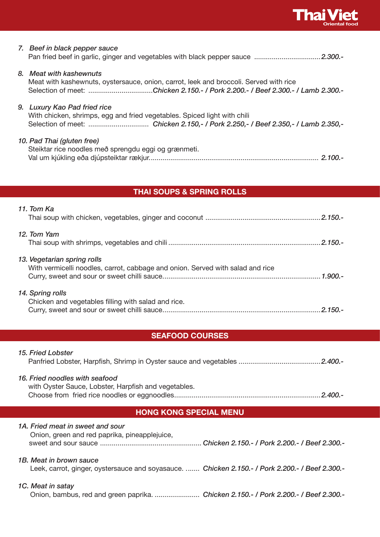

## *7. Beef in black pepper sauce* Pan fried beef in garlic, ginger and vegetables with black pepper sauce ..................................*2.300.-*

# *8. Meat with kashewnuts* Meat with kashewnuts, oystersauce, onion, carrot, leek and broccoli. Served with rice

Selection of meet: .................................*Chicken 2.150.- / Pork 2.200.- / Beef 2.300.- / Lamb 2.300.-*

### *9. Luxury Kao Pad fried rice*

With chicken, shrimps, egg and fried vegetables. Spiced light with chili Selection of meet: ............................... *Chicken 2.150,- / Pork 2.250,- / Beef 2.350,- / Lamb 2.350,-*

### *10. Pad Thai (gluten free)*

Steiktar rice noodles með sprengdu eggi og grænmeti. Val um kjúkling eða djúpsteiktar rækjur....................................................................................... *2.100.-*

# **THAI SOUPS & SPRING ROLLS**

| 11. Tom Ka                                                                                                    |  |
|---------------------------------------------------------------------------------------------------------------|--|
| 12. Tom Yam                                                                                                   |  |
| 13. Vegetarian spring rolls<br>With vermicelli noodles, carrot, cabbage and onion. Served with salad and rice |  |
| 14. Spring rolls<br>Chicken and vegetables filling with salad and rice.                                       |  |

## **SEAFOOD COURSES**

| 15. Fried Lobster                                                                                                          |  |  |
|----------------------------------------------------------------------------------------------------------------------------|--|--|
| 16. Fried noodles with seafood<br>with Oyster Sauce, Lobster, Harpfish and vegetables.                                     |  |  |
| <b>HONG KONG SPECIAL MENU</b>                                                                                              |  |  |
| 1A. Fried meat in sweet and sour<br>Onion, green and red paprika, pineapplejuice,                                          |  |  |
| 1B. Meat in brown sauce<br>Leek, carrot, ginger, oystersauce and soyasauce.  Chicken 2.150.- / Pork 2.200.- / Beef 2.300.- |  |  |
| 1C. Meat in satay<br>Onion, bambus, red and green paprika.  Chicken 2.150.- / Pork 2.200.- / Beef 2.300.-                  |  |  |